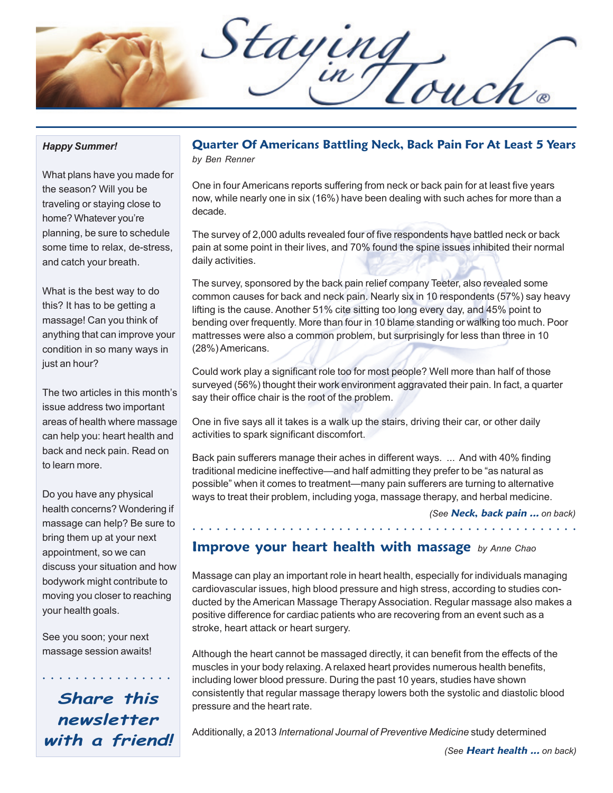Staying

#### *Happy Summer!*

What plans have you made for the season? Will you be traveling or staying close to home? Whatever you're planning, be sure to schedule some time to relax, de-stress, and catch your breath.

What is the best way to do this? It has to be getting a massage! Can you think of anything that can improve your condition in so many ways in just an hour?

The two articles in this month's issue address two important areas of health where massage can help you: heart health and back and neck pain. Read on to learn more.

Do you have any physical health concerns? Wondering if massage can help? Be sure to bring them up at your next appointment, so we can discuss your situation and how bodywork might contribute to moving you closer to reaching your health goals.

See you soon; your next massage session awaits!

**Share this newsletter with a friend!**

○○○○○○○○○○○○○○○○

#### **Quarter Of Americans Battling Neck, Back Pain For At Least 5 Years** *by Ben Renner*

One in four Americans reports suffering from neck or back pain for at least five years now, while nearly one in six (16%) have been dealing with such aches for more than a decade.

The survey of 2,000 adults revealed four of five respondents have battled neck or back pain at some point in their lives, and 70% found the spine issues inhibited their normal daily activities.

The survey, sponsored by the back pain relief company Teeter, also revealed some common causes for back and neck pain. Nearly six in 10 respondents (57%) say heavy lifting is the cause. Another 51% cite sitting too long every day, and 45% point to bending over frequently. More than four in 10 blame standing or walking too much. Poor mattresses were also a common problem, but surprisingly for less than three in 10 (28%) Americans.

Could work play a significant role too for most people? Well more than half of those surveyed (56%) thought their work environment aggravated their pain. In fact, a quarter say their office chair is the root of the problem.

One in five says all it takes is a walk up the stairs, driving their car, or other daily activities to spark significant discomfort.

Back pain sufferers manage their aches in different ways. ... And with 40% finding traditional medicine ineffective—and half admitting they prefer to be "as natural as possible" when it comes to treatment—many pain sufferers are turning to alternative ways to treat their problem, including yoga, massage therapy, and herbal medicine.

*(See* **Neck, back pain ...** *on back)*

#### **Improve your heart health with massage** *by Anne Chao*

Massage can play an important role in heart health, especially for individuals managing cardiovascular issues, high blood pressure and high stress, according to studies conducted by the American Massage Therapy Association. Regular massage also makes a positive difference for cardiac patients who are recovering from an event such as a stroke, heart attack or heart surgery.

○○○○○○○○○○○○○○○○○○ ○○○○○○○○○○○○○○○○○○○○○○○○○○○○○○

Although the heart cannot be massaged directly, it can benefit from the effects of the muscles in your body relaxing. A relaxed heart provides numerous health benefits, including lower blood pressure. During the past 10 years, studies have shown consistently that regular massage therapy lowers both the systolic and diastolic blood pressure and the heart rate.

Additionally, a 2013 *International Journal of Preventive Medicine* study determined